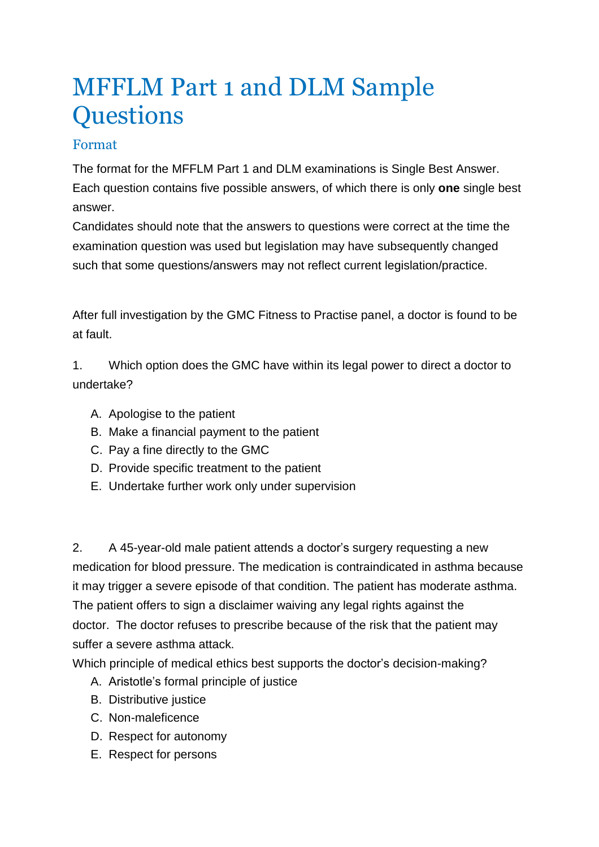## MFFLM Part 1 and DLM Sample **Questions**

## Format

The format for the MFFLM Part 1 and DLM examinations is Single Best Answer. Each question contains five possible answers, of which there is only **one** single best answer.

Candidates should note that the answers to questions were correct at the time the examination question was used but legislation may have subsequently changed such that some questions/answers may not reflect current legislation/practice.

After full investigation by the GMC Fitness to Practise panel, a doctor is found to be at fault.

1. Which option does the GMC have within its legal power to direct a doctor to undertake?

- A. Apologise to the patient
- B. Make a financial payment to the patient
- C. Pay a fine directly to the GMC
- D. Provide specific treatment to the patient
- E. Undertake further work only under supervision

2. A 45-year-old male patient attends a doctor's surgery requesting a new medication for blood pressure. The medication is contraindicated in asthma because it may trigger a severe episode of that condition. The patient has moderate asthma. The patient offers to sign a disclaimer waiving any legal rights against the doctor. The doctor refuses to prescribe because of the risk that the patient may suffer a severe asthma attack.

Which principle of medical ethics best supports the doctor's decision-making?

- A. Aristotle's formal principle of justice
- B. Distributive justice
- C. Non-maleficence
- D. Respect for autonomy
- E. Respect for persons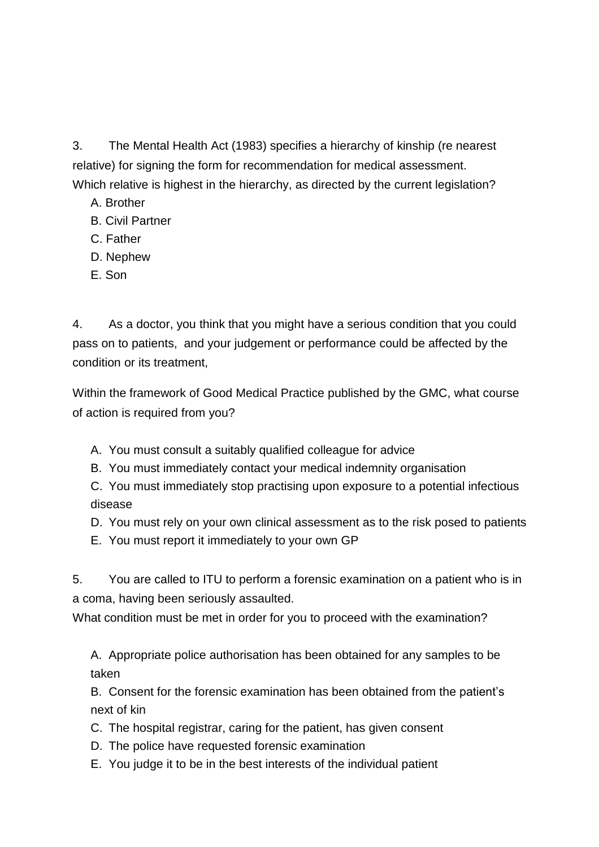3. The Mental Health Act (1983) specifies a hierarchy of kinship (re nearest relative) for signing the form for recommendation for medical assessment. Which relative is highest in the hierarchy, as directed by the current legislation?

- A. Brother
- B. Civil Partner
- C. Father
- D. Nephew
- E. Son

4. As a doctor, you think that you might have a serious condition that you could pass on to patients, and your judgement or performance could be affected by the condition or its treatment,

Within the framework of Good Medical Practice published by the GMC, what course of action is required from you?

- A. You must consult a suitably qualified colleague for advice
- B. You must immediately contact your medical indemnity organisation

C. You must immediately stop practising upon exposure to a potential infectious disease

- D. You must rely on your own clinical assessment as to the risk posed to patients
- E. You must report it immediately to your own GP

5. You are called to ITU to perform a forensic examination on a patient who is in a coma, having been seriously assaulted.

What condition must be met in order for you to proceed with the examination?

A. Appropriate police authorisation has been obtained for any samples to be taken

B. Consent for the forensic examination has been obtained from the patient's next of kin

- C. The hospital registrar, caring for the patient, has given consent
- D. The police have requested forensic examination
- E. You judge it to be in the best interests of the individual patient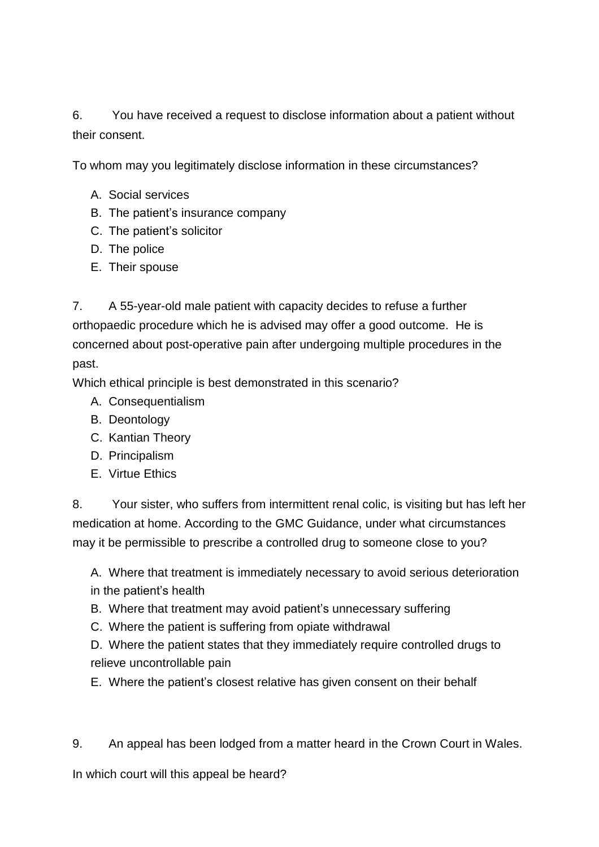6. You have received a request to disclose information about a patient without their consent.

To whom may you legitimately disclose information in these circumstances?

- A. Social services
- B. The patient's insurance company
- C. The patient's solicitor
- D. The police
- E. Their spouse

7. A 55-year-old male patient with capacity decides to refuse a further orthopaedic procedure which he is advised may offer a good outcome. He is concerned about post-operative pain after undergoing multiple procedures in the past.

Which ethical principle is best demonstrated in this scenario?

- A. Consequentialism
- B. Deontology
- C. Kantian Theory
- D. Principalism
- E. Virtue Ethics

8. Your sister, who suffers from intermittent renal colic, is visiting but has left her medication at home. According to the GMC Guidance, under what circumstances may it be permissible to prescribe a controlled drug to someone close to you?

A. Where that treatment is immediately necessary to avoid serious deterioration in the patient's health

- B. Where that treatment may avoid patient's unnecessary suffering
- C. Where the patient is suffering from opiate withdrawal

D. Where the patient states that they immediately require controlled drugs to relieve uncontrollable pain

E. Where the patient's closest relative has given consent on their behalf

9. An appeal has been lodged from a matter heard in the Crown Court in Wales.

In which court will this appeal be heard?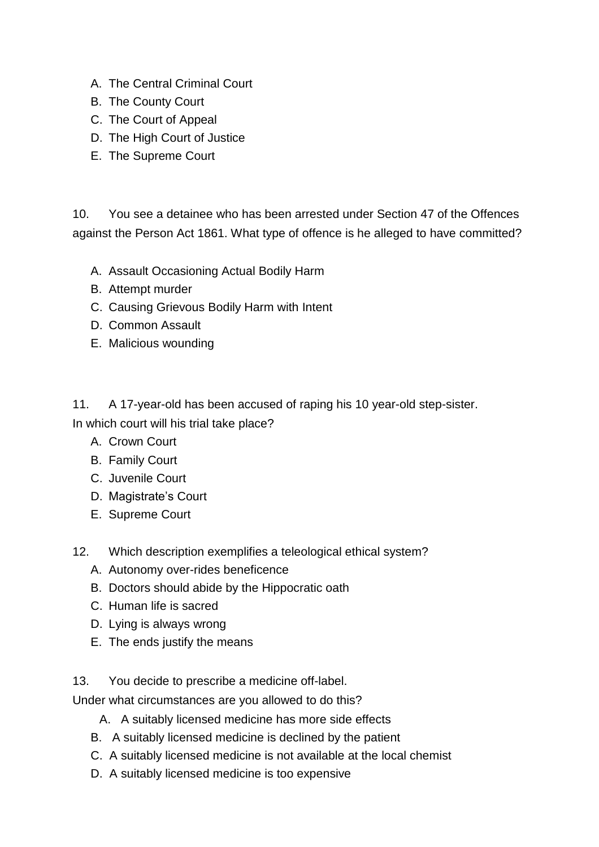- A. The Central Criminal Court
- B. The County Court
- C. The Court of Appeal
- D. The High Court of Justice
- E. The Supreme Court

10. You see a detainee who has been arrested under Section 47 of the Offences against the Person Act 1861. What type of offence is he alleged to have committed?

- A. Assault Occasioning Actual Bodily Harm
- B. Attempt murder
- C. Causing Grievous Bodily Harm with Intent
- D. Common Assault
- E. Malicious wounding

11. A 17-year-old has been accused of raping his 10 year-old step-sister. In which court will his trial take place?

- A. Crown Court
- B. Family Court
- C. Juvenile Court
- D. Magistrate's Court
- E. Supreme Court
- 12. Which description exemplifies a teleological ethical system?
	- A. Autonomy over-rides beneficence
	- B. Doctors should abide by the Hippocratic oath
	- C. Human life is sacred
	- D. Lying is always wrong
	- E. The ends justify the means
- 13. You decide to prescribe a medicine off-label.

Under what circumstances are you allowed to do this?

- A. A suitably licensed medicine has more side effects
- B. A suitably licensed medicine is declined by the patient
- C. A suitably licensed medicine is not available at the local chemist
- D. A suitably licensed medicine is too expensive